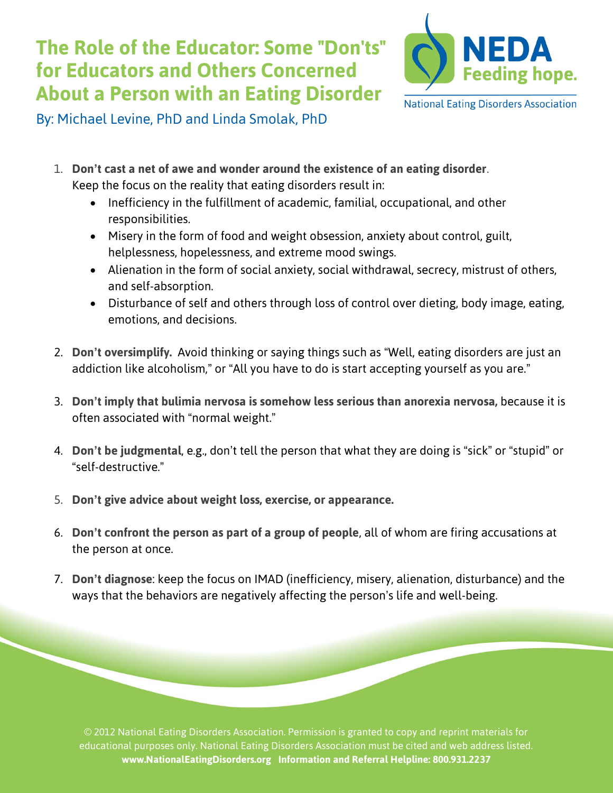## **The Role of the Educator: Some "Don'ts" for Educators and Others Concerned About a Person with an Eating Disorder**



**National Eating Disorders Association** 

By: Michael Levine, PhD and Linda Smolak, PhD

- 1. **Don't cast a net of awe and wonder around the existence of an eating disorder**. Keep the focus on the reality that eating disorders result in:
	- Inefficiency in the fulfillment of academic, familial, occupational, and other responsibilities.
	- Misery in the form of food and weight obsession, anxiety about control, guilt, helplessness, hopelessness, and extreme mood swings.
	- Alienation in the form of social anxiety, social withdrawal, secrecy, mistrust of others, and self-absorption.
	- Disturbance of self and others through loss of control over dieting, body image, eating, emotions, and decisions.
- 2. **Don't oversimplify.** Avoid thinking or saying things such as "Well, eating disorders are just an addiction like alcoholism," or "All you have to do is start accepting yourself as you are."
- 3. **Don't imply that bulimia nervosa is somehow less serious than anorexia nervosa,** because it is often associated with "normal weight."
- 4. **Don't be judgmental**, e.g., don't tell the person that what they are doing is "sick" or "stupid" or "self-destructive."
- 5. **Don't give advice about weight loss, exercise, or appearance.**
- 6. **Don't confront the person as part of a group of people**, all of whom are firing accusations at the person at once.
- 7. **Don't diagnose**: keep the focus on IMAD (inefficiency, misery, alienation, disturbance) and the ways that the behaviors are negatively affecting the person's life and well-being.

© 2012 National Eating Disorders Association. Permission is granted to copy and reprint materials for educational purposes only. National Eating Disorders Association must be cited and web address listed. **www.NationalEatingDisorders.org Information and Referral Helpline: 800.931.2237**